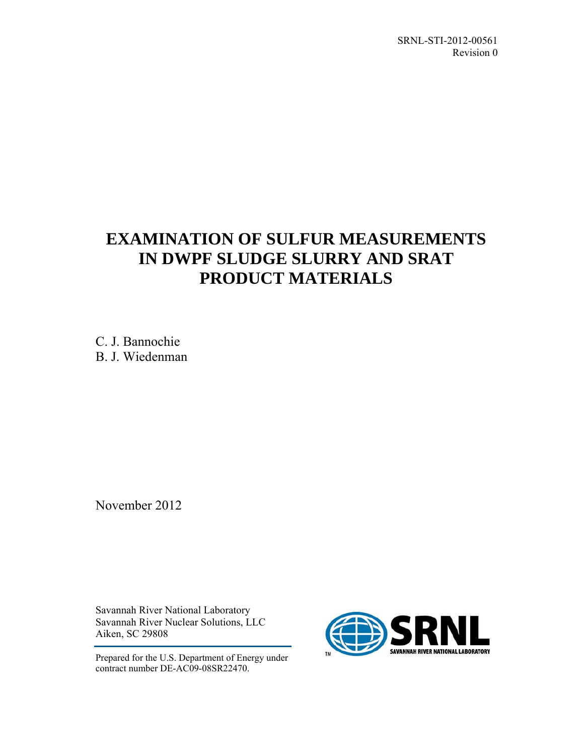SRNL-STI-2012-00561 Revision 0

# **EXAMINATION OF SULFUR MEASUREMENTS IN DWPF SLUDGE SLURRY AND SRAT PRODUCT MATERIALS**

C. J. Bannochie B. J. Wiedenman

November 2012

Savannah River National Laboratory Savannah River Nuclear Solutions, LLC Aiken, SC 29808

Prepared for the U.S. Department of Energy under contract number DE-AC09-08SR22470.

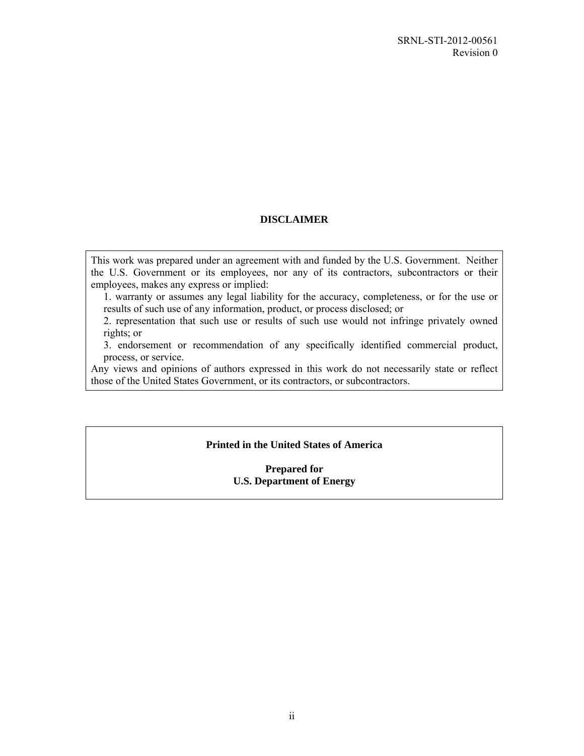#### **DISCLAIMER**

This work was prepared under an agreement with and funded by the U.S. Government. Neither the U.S. Government or its employees, nor any of its contractors, subcontractors or their employees, makes any express or implied:

1. warranty or assumes any legal liability for the accuracy, completeness, or for the use or results of such use of any information, product, or process disclosed; or

2. representation that such use or results of such use would not infringe privately owned rights; or

3. endorsement or recommendation of any specifically identified commercial product, process, or service.

Any views and opinions of authors expressed in this work do not necessarily state or reflect those of the United States Government, or its contractors, or subcontractors.

#### **Printed in the United States of America**

**Prepared for U.S. Department of Energy**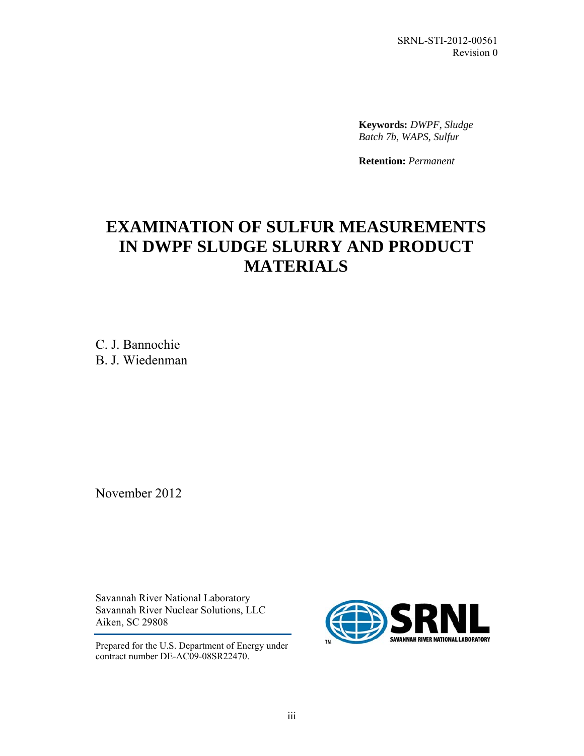SRNL-STI-2012-00561 Revision 0

**Keywords:** *DWPF, Sludge Batch 7b, WAPS, Sulfur*

**Retention:** *Permanent*

# **EXAMINATION OF SULFUR MEASUREMENTS IN DWPF SLUDGE SLURRY AND PRODUCT MATERIALS**

C. J. Bannochie B. J. Wiedenman

November 2012

Savannah River National Laboratory Savannah River Nuclear Solutions, LLC Aiken, SC 29808

Prepared for the U.S. Department of Energy under contract number DE-AC09-08SR22470.

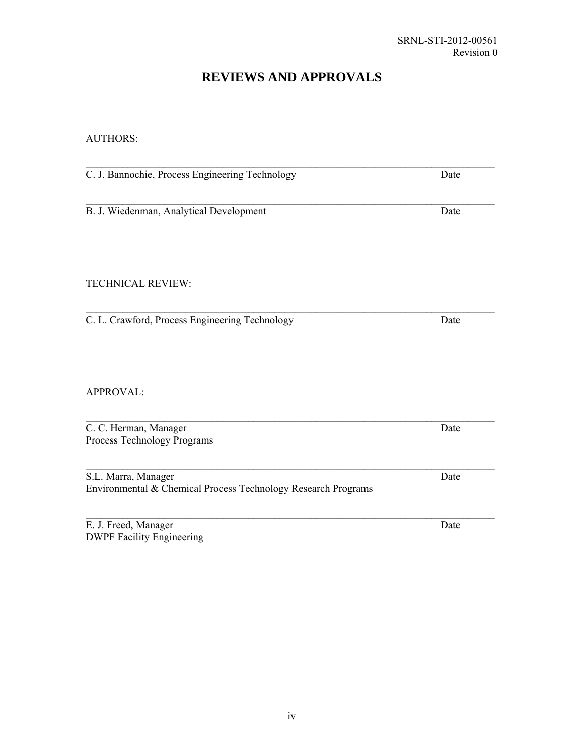### **REVIEWS AND APPROVALS**

#### AUTHORS:

 $\mathcal{L}_\text{max}$  and  $\mathcal{L}_\text{max}$  and  $\mathcal{L}_\text{max}$  and  $\mathcal{L}_\text{max}$  and  $\mathcal{L}_\text{max}$  and  $\mathcal{L}_\text{max}$ C. J. Bannochie, Process Engineering Technology Date  $\mathcal{L}_\text{max}$  and  $\mathcal{L}_\text{max}$  and  $\mathcal{L}_\text{max}$  and  $\mathcal{L}_\text{max}$  and  $\mathcal{L}_\text{max}$  and  $\mathcal{L}_\text{max}$ B. J. Wiedenman, Analytical Development Date TECHNICAL REVIEW: C. L. Crawford, Process Engineering Technology Date APPROVAL:  $\mathcal{L}_\mathcal{L} = \{ \mathcal{L}_\mathcal{L} = \{ \mathcal{L}_\mathcal{L} = \{ \mathcal{L}_\mathcal{L} = \{ \mathcal{L}_\mathcal{L} = \{ \mathcal{L}_\mathcal{L} = \{ \mathcal{L}_\mathcal{L} = \{ \mathcal{L}_\mathcal{L} = \{ \mathcal{L}_\mathcal{L} = \{ \mathcal{L}_\mathcal{L} = \{ \mathcal{L}_\mathcal{L} = \{ \mathcal{L}_\mathcal{L} = \{ \mathcal{L}_\mathcal{L} = \{ \mathcal{L}_\mathcal{L} = \{ \mathcal{L}_\mathcal{$ C. C. Herman, Manager Date Process Technology Programs  $\mathcal{L}_\mathcal{L} = \{ \mathcal{L}_\mathcal{L} = \{ \mathcal{L}_\mathcal{L} = \{ \mathcal{L}_\mathcal{L} = \{ \mathcal{L}_\mathcal{L} = \{ \mathcal{L}_\mathcal{L} = \{ \mathcal{L}_\mathcal{L} = \{ \mathcal{L}_\mathcal{L} = \{ \mathcal{L}_\mathcal{L} = \{ \mathcal{L}_\mathcal{L} = \{ \mathcal{L}_\mathcal{L} = \{ \mathcal{L}_\mathcal{L} = \{ \mathcal{L}_\mathcal{L} = \{ \mathcal{L}_\mathcal{L} = \{ \mathcal{L}_\mathcal{$ S.L. Marra, Manager Date Environmental & Chemical Process Technology Research Programs  $\mathcal{L}_\mathcal{L} = \{ \mathcal{L}_\mathcal{L} = \{ \mathcal{L}_\mathcal{L} = \{ \mathcal{L}_\mathcal{L} = \{ \mathcal{L}_\mathcal{L} = \{ \mathcal{L}_\mathcal{L} = \{ \mathcal{L}_\mathcal{L} = \{ \mathcal{L}_\mathcal{L} = \{ \mathcal{L}_\mathcal{L} = \{ \mathcal{L}_\mathcal{L} = \{ \mathcal{L}_\mathcal{L} = \{ \mathcal{L}_\mathcal{L} = \{ \mathcal{L}_\mathcal{L} = \{ \mathcal{L}_\mathcal{L} = \{ \mathcal{L}_\mathcal{$ 

E. J. Freed, Manager Date DWPF Facility Engineering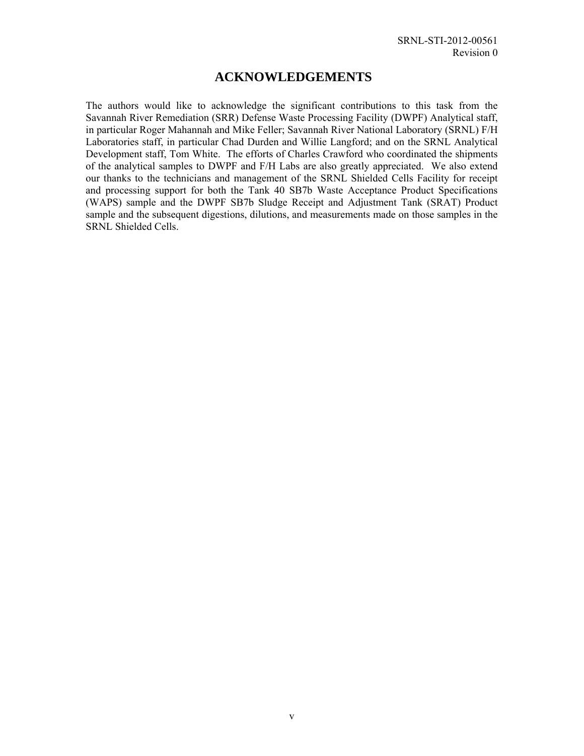### **ACKNOWLEDGEMENTS**

The authors would like to acknowledge the significant contributions to this task from the Savannah River Remediation (SRR) Defense Waste Processing Facility (DWPF) Analytical staff, in particular Roger Mahannah and Mike Feller; Savannah River National Laboratory (SRNL) F/H Laboratories staff, in particular Chad Durden and Willie Langford; and on the SRNL Analytical Development staff, Tom White. The efforts of Charles Crawford who coordinated the shipments of the analytical samples to DWPF and F/H Labs are also greatly appreciated. We also extend our thanks to the technicians and management of the SRNL Shielded Cells Facility for receipt and processing support for both the Tank 40 SB7b Waste Acceptance Product Specifications (WAPS) sample and the DWPF SB7b Sludge Receipt and Adjustment Tank (SRAT) Product sample and the subsequent digestions, dilutions, and measurements made on those samples in the SRNL Shielded Cells.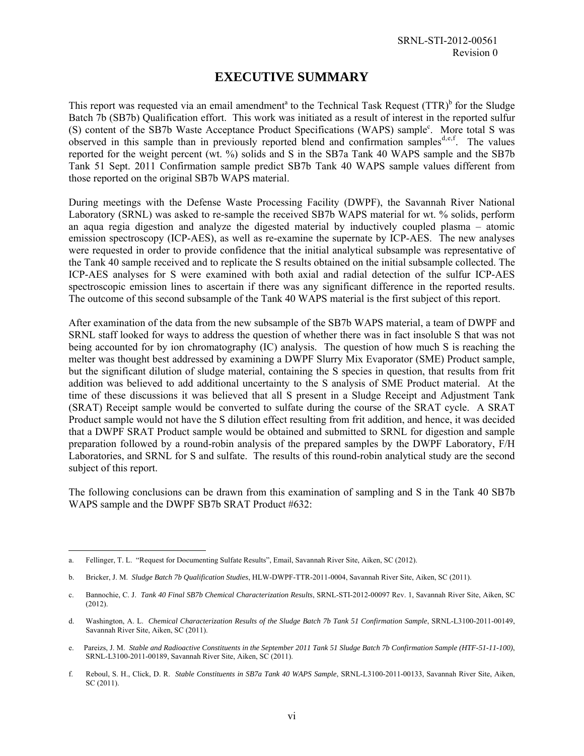### **EXECUTIVE SUMMARY**

This report was requested via an email amendment<sup>a</sup> to the Technical Task Request (TTR)<sup>b</sup> for the Sludge Batch 7b (SB7b) Qualification effort. This work was initiated as a result of interest in the reported sulfur (S) content of the SB7b Waste Acceptance Product Specifications (WAPS) sample<sup>c</sup>. More total S was observed in this sample than in previously reported blend and confirmation samples<sup>d,e,f</sup>. The values reported for the weight percent (wt. %) solids and S in the SB7a Tank 40 WAPS sample and the SB7b Tank 51 Sept. 2011 Confirmation sample predict SB7b Tank 40 WAPS sample values different from those reported on the original SB7b WAPS material.

During meetings with the Defense Waste Processing Facility (DWPF), the Savannah River National Laboratory (SRNL) was asked to re-sample the received SB7b WAPS material for wt. % solids, perform an aqua regia digestion and analyze the digested material by inductively coupled plasma – atomic emission spectroscopy (ICP-AES), as well as re-examine the supernate by ICP-AES. The new analyses were requested in order to provide confidence that the initial analytical subsample was representative of the Tank 40 sample received and to replicate the S results obtained on the initial subsample collected. The ICP-AES analyses for S were examined with both axial and radial detection of the sulfur ICP-AES spectroscopic emission lines to ascertain if there was any significant difference in the reported results. The outcome of this second subsample of the Tank 40 WAPS material is the first subject of this report.

After examination of the data from the new subsample of the SB7b WAPS material, a team of DWPF and SRNL staff looked for ways to address the question of whether there was in fact insoluble S that was not being accounted for by ion chromatography (IC) analysis. The question of how much S is reaching the melter was thought best addressed by examining a DWPF Slurry Mix Evaporator (SME) Product sample, but the significant dilution of sludge material, containing the S species in question, that results from frit addition was believed to add additional uncertainty to the S analysis of SME Product material. At the time of these discussions it was believed that all S present in a Sludge Receipt and Adjustment Tank (SRAT) Receipt sample would be converted to sulfate during the course of the SRAT cycle. A SRAT Product sample would not have the S dilution effect resulting from frit addition, and hence, it was decided that a DWPF SRAT Product sample would be obtained and submitted to SRNL for digestion and sample preparation followed by a round-robin analysis of the prepared samples by the DWPF Laboratory, F/H Laboratories, and SRNL for S and sulfate. The results of this round-robin analytical study are the second subject of this report.

The following conclusions can be drawn from this examination of sampling and S in the Tank 40 SB7b WAPS sample and the DWPF SB7b SRAT Product #632:

l

a. Fellinger, T. L. "Request for Documenting Sulfate Results", Email, Savannah River Site, Aiken, SC (2012).

b. Bricker, J. M. *Sludge Batch 7b Qualification Studies*, HLW-DWPF-TTR-2011-0004, Savannah River Site, Aiken, SC (2011).

c. Bannochie, C. J. *Tank 40 Final SB7b Chemical Characterization Results*, SRNL-STI-2012-00097 Rev. 1, Savannah River Site, Aiken, SC (2012).

d. Washington, A. L. *Chemical Characterization Results of the Sludge Batch 7b Tank 51 Confirmation Sample*, SRNL-L3100-2011-00149, Savannah River Site, Aiken, SC (2011).

e. Pareizs, J. M. *Stable and Radioactive Constituents in the September 2011 Tank 51 Sludge Batch 7b Confirmation Sample (HTF-51-11-100)*, SRNL-L3100-2011-00189, Savannah River Site, Aiken, SC (2011).

f. Reboul, S. H., Click, D. R. *Stable Constituents in SB7a Tank 40 WAPS Sample*, SRNL-L3100-2011-00133, Savannah River Site, Aiken, SC (2011).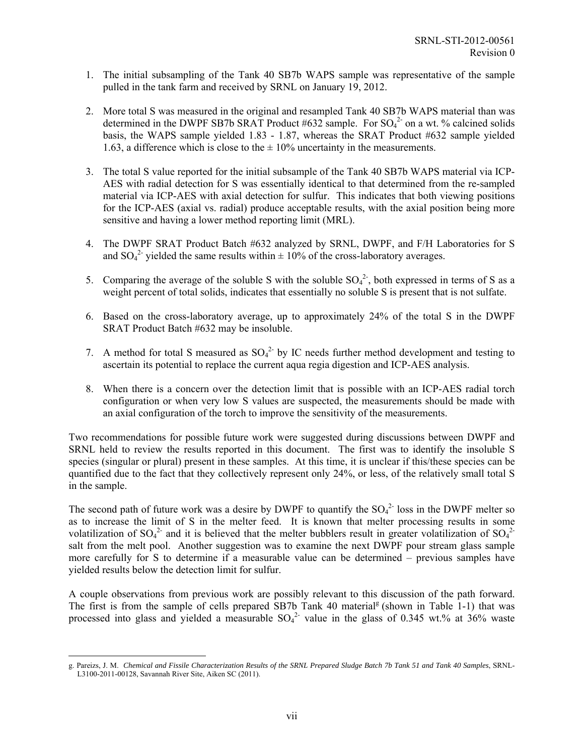- 1. The initial subsampling of the Tank 40 SB7b WAPS sample was representative of the sample pulled in the tank farm and received by SRNL on January 19, 2012.
- 2. More total S was measured in the original and resampled Tank 40 SB7b WAPS material than was determined in the DWPF SB7b SRAT Product #632 sample. For  $SO_4^2$  on a wt. % calcined solids basis, the WAPS sample yielded 1.83 - 1.87, whereas the SRAT Product #632 sample yielded 1.63, a difference which is close to the  $\pm$  10% uncertainty in the measurements.
- 3. The total S value reported for the initial subsample of the Tank 40 SB7b WAPS material via ICP-AES with radial detection for S was essentially identical to that determined from the re-sampled material via ICP-AES with axial detection for sulfur. This indicates that both viewing positions for the ICP-AES (axial vs. radial) produce acceptable results, with the axial position being more sensitive and having a lower method reporting limit (MRL).
- 4. The DWPF SRAT Product Batch #632 analyzed by SRNL, DWPF, and F/H Laboratories for S and  $SO_4^2$  yielded the same results within  $\pm 10\%$  of the cross-laboratory averages.
- 5. Comparing the average of the soluble S with the soluble  $SO_4^2$ , both expressed in terms of S as a weight percent of total solids, indicates that essentially no soluble S is present that is not sulfate.
- 6. Based on the cross-laboratory average, up to approximately 24% of the total S in the DWPF SRAT Product Batch #632 may be insoluble.
- 7. A method for total S measured as  $SO_4^2$  by IC needs further method development and testing to ascertain its potential to replace the current aqua regia digestion and ICP-AES analysis.
- 8. When there is a concern over the detection limit that is possible with an ICP-AES radial torch configuration or when very low S values are suspected, the measurements should be made with an axial configuration of the torch to improve the sensitivity of the measurements.

Two recommendations for possible future work were suggested during discussions between DWPF and SRNL held to review the results reported in this document. The first was to identify the insoluble S species (singular or plural) present in these samples. At this time, it is unclear if this/these species can be quantified due to the fact that they collectively represent only 24%, or less, of the relatively small total S in the sample.

The second path of future work was a desire by DWPF to quantify the  $SO_4^2$ -loss in the DWPF melter so as to increase the limit of S in the melter feed. It is known that melter processing results in some volatilization of  $SO_4^2$  and it is believed that the melter bubblers result in greater volatilization of  $SO_4^2$ salt from the melt pool. Another suggestion was to examine the next DWPF pour stream glass sample more carefully for S to determine if a measurable value can be determined – previous samples have yielded results below the detection limit for sulfur.

A couple observations from previous work are possibly relevant to this discussion of the path forward. The first is from the sample of cells prepared SB7b Tank 40 material<sup>g</sup> (shown in Table 1-1) that was processed into glass and yielded a measurable  $SO_4^2$  value in the glass of 0.345 wt.% at 36% waste

<sup>1</sup> g. Pareizs, J. M. *Chemical and Fissile Characterization Results of the SRNL Prepared Sludge Batch 7b Tank 51 and Tank 40 Samples*, SRNL-L3100-2011-00128, Savannah River Site, Aiken SC (2011).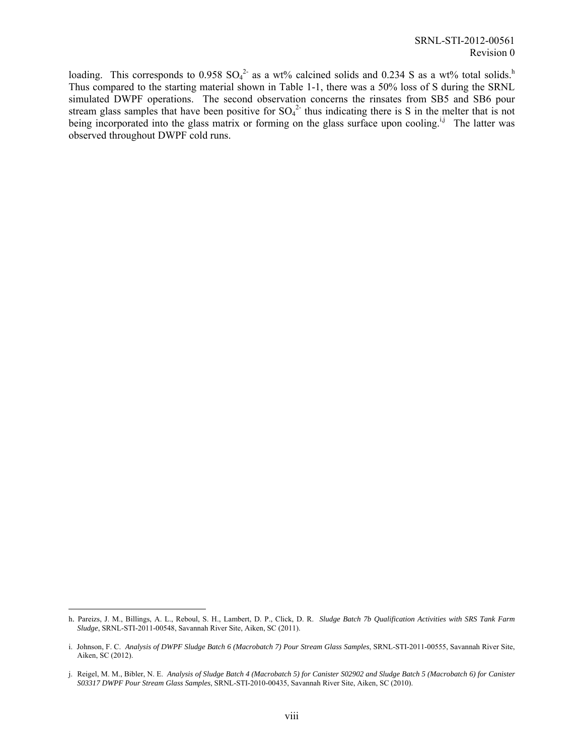loading. This corresponds to 0.958  $SO_4^2$  as a wt% calcined solids and 0.234 S as a wt% total solids.<sup>h</sup> Thus compared to the starting material shown in Table 1-1, there was a 50% loss of S during the SRNL simulated DWPF operations. The second observation concerns the rinsates from SB5 and SB6 pour stream glass samples that have been positive for  $SO_4^2$  thus indicating there is S in the melter that is not being incorporated into the glass matrix or forming on the glass surface upon cooling.<sup>i,j</sup> The latter was observed throughout DWPF cold runs.

1

h. Pareizs, J. M., Billings, A. L., Reboul, S. H., Lambert, D. P., Click, D. R. *Sludge Batch 7b Qualification Activities with SRS Tank Farm Sludge*, SRNL-STI-2011-00548, Savannah River Site, Aiken, SC (2011).

i. Johnson, F. C. Analysis of DWPF Sludge Batch 6 (Macrobatch 7) Pour Stream Glass Samples, SRNL-STI-2011-00555, Savannah River Site, Aiken, SC (2012).

j. Reigel, M. M., Bibler, N. E. *Analysis of Sludge Batch 4 (Macrobatch 5) for Canister S02902 and Sludge Batch 5 (Macrobatch 6) for Canister S03317 DWPF Pour Stream Glass Samples*, SRNL-STI-2010-00435, Savannah River Site, Aiken, SC (2010).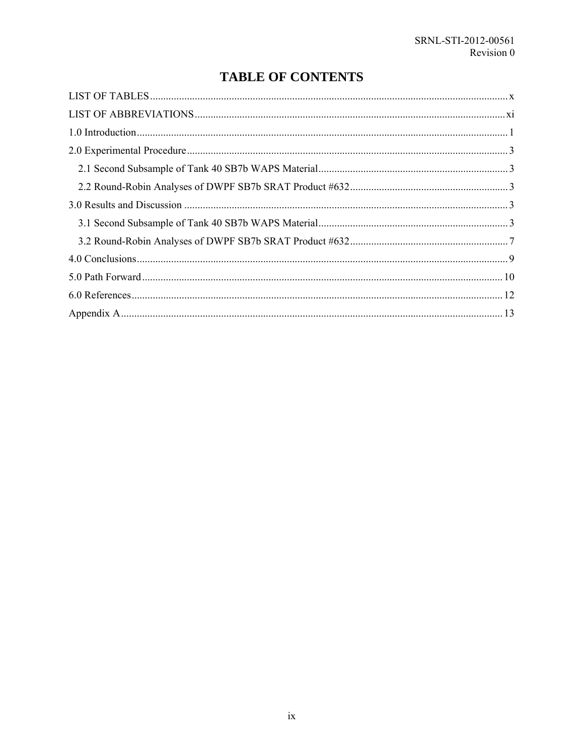## **TABLE OF CONTENTS**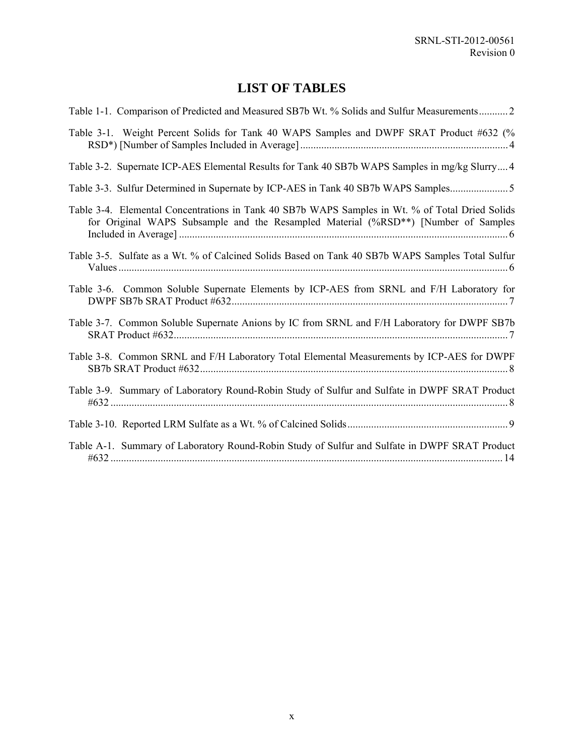### **LIST OF TABLES**

| Table 1-1. Comparison of Predicted and Measured SB7b Wt. % Solids and Sulfur Measurements 2                                                                                           |
|---------------------------------------------------------------------------------------------------------------------------------------------------------------------------------------|
| Table 3-1. Weight Percent Solids for Tank 40 WAPS Samples and DWPF SRAT Product #632 (%                                                                                               |
| Table 3-2. Supernate ICP-AES Elemental Results for Tank 40 SB7b WAPS Samples in mg/kg Slurry 4                                                                                        |
| Table 3-3. Sulfur Determined in Supernate by ICP-AES in Tank 40 SB7b WAPS Samples                                                                                                     |
| Table 3-4. Elemental Concentrations in Tank 40 SB7b WAPS Samples in Wt. % of Total Dried Solids<br>for Original WAPS Subsample and the Resampled Material (%RSD**) [Number of Samples |
| Table 3-5. Sulfate as a Wt. % of Calcined Solids Based on Tank 40 SB7b WAPS Samples Total Sulfur                                                                                      |
| Table 3-6. Common Soluble Supernate Elements by ICP-AES from SRNL and F/H Laboratory for                                                                                              |
| Table 3-7. Common Soluble Supernate Anions by IC from SRNL and F/H Laboratory for DWPF SB7b                                                                                           |
| Table 3-8. Common SRNL and F/H Laboratory Total Elemental Measurements by ICP-AES for DWPF                                                                                            |
| Table 3-9. Summary of Laboratory Round-Robin Study of Sulfur and Sulfate in DWPF SRAT Product                                                                                         |
|                                                                                                                                                                                       |
| Table A-1. Summary of Laboratory Round-Robin Study of Sulfur and Sulfate in DWPF SRAT Product                                                                                         |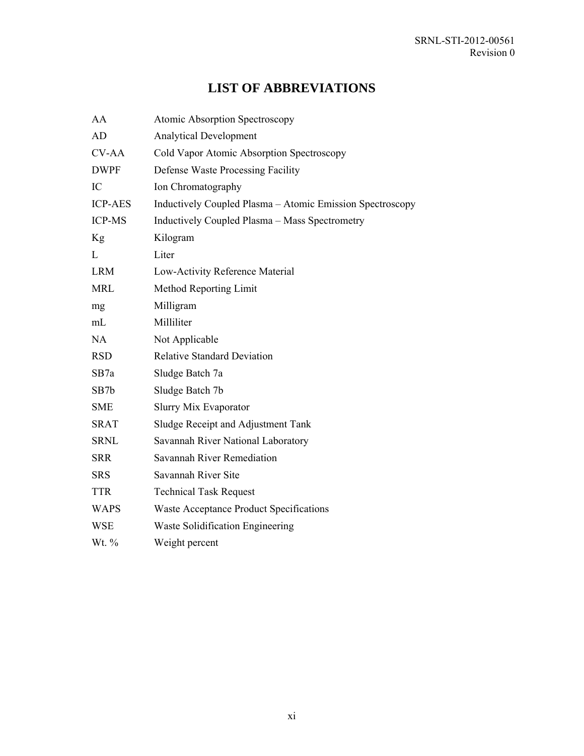## **LIST OF ABBREVIATIONS**

| AA             | Atomic Absorption Spectroscopy                            |
|----------------|-----------------------------------------------------------|
| AD             | <b>Analytical Development</b>                             |
| <b>CV-AA</b>   | Cold Vapor Atomic Absorption Spectroscopy                 |
| <b>DWPF</b>    | Defense Waste Processing Facility                         |
| IC             | Ion Chromatography                                        |
| <b>ICP-AES</b> | Inductively Coupled Plasma – Atomic Emission Spectroscopy |
| <b>ICP-MS</b>  | Inductively Coupled Plasma - Mass Spectrometry            |
| Kg             | Kilogram                                                  |
| L              | Liter                                                     |
| <b>LRM</b>     | Low-Activity Reference Material                           |
| <b>MRL</b>     | Method Reporting Limit                                    |
| mg             | Milligram                                                 |
| mL             | Milliliter                                                |
| <b>NA</b>      | Not Applicable                                            |
| <b>RSD</b>     | <b>Relative Standard Deviation</b>                        |
| SB7a           | Sludge Batch 7a                                           |
| SB7b           | Sludge Batch 7b                                           |
| <b>SME</b>     | <b>Slurry Mix Evaporator</b>                              |
| <b>SRAT</b>    | Sludge Receipt and Adjustment Tank                        |
| <b>SRNL</b>    | Savannah River National Laboratory                        |
| <b>SRR</b>     | Savannah River Remediation                                |
| <b>SRS</b>     | Savannah River Site                                       |
| <b>TTR</b>     | <b>Technical Task Request</b>                             |
| <b>WAPS</b>    | Waste Acceptance Product Specifications                   |
| <b>WSE</b>     | Waste Solidification Engineering                          |
| Wt. $%$        | Weight percent                                            |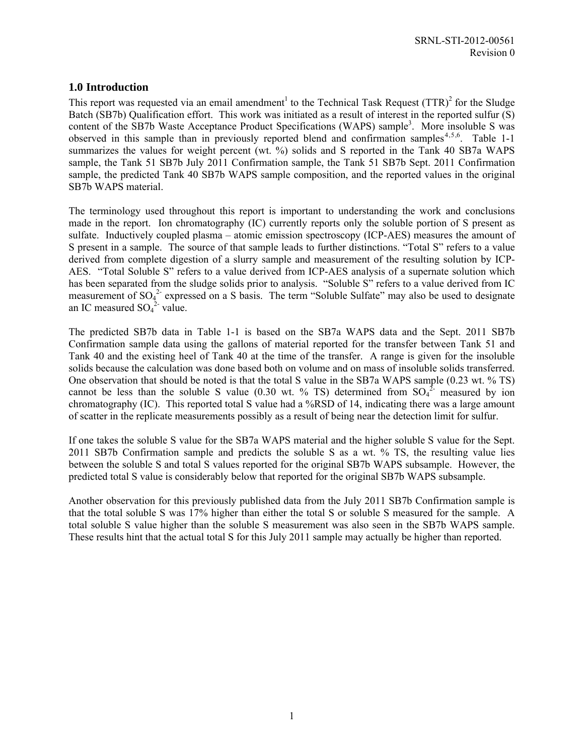#### **1.0 Introduction**

This report was requested via an email amendment<sup>1</sup> to the Technical Task Request (TTR)<sup>2</sup> for the Sludge Batch (SB7b) Qualification effort. This work was initiated as a result of interest in the reported sulfur (S) content of the SB7b Waste Acceptance Product Specifications (WAPS) sample<sup>3</sup>. More insoluble S was observed in this sample than in previously reported blend and confirmation samples<sup>4,5,6</sup>. Table 1-1 summarizes the values for weight percent (wt. %) solids and S reported in the Tank 40 SB7a WAPS sample, the Tank 51 SB7b July 2011 Confirmation sample, the Tank 51 SB7b Sept. 2011 Confirmation sample, the predicted Tank 40 SB7b WAPS sample composition, and the reported values in the original SB7b WAPS material.

The terminology used throughout this report is important to understanding the work and conclusions made in the report. Ion chromatography (IC) currently reports only the soluble portion of S present as sulfate. Inductively coupled plasma – atomic emission spectroscopy (ICP-AES) measures the amount of S present in a sample. The source of that sample leads to further distinctions. "Total S" refers to a value derived from complete digestion of a slurry sample and measurement of the resulting solution by ICP-AES. "Total Soluble S" refers to a value derived from ICP-AES analysis of a supernate solution which has been separated from the sludge solids prior to analysis. "Soluble S" refers to a value derived from IC measurement of  $SO_4^2$  expressed on a S basis. The term "Soluble Sulfate" may also be used to designate an IC measured  $SO_4^2$  value.

The predicted SB7b data in Table 1-1 is based on the SB7a WAPS data and the Sept. 2011 SB7b Confirmation sample data using the gallons of material reported for the transfer between Tank 51 and Tank 40 and the existing heel of Tank 40 at the time of the transfer. A range is given for the insoluble solids because the calculation was done based both on volume and on mass of insoluble solids transferred. One observation that should be noted is that the total S value in the SB7a WAPS sample (0.23 wt. % TS) cannot be less than the soluble S value (0.30 wt. % TS) determined from  $SO_4^2$  measured by ion chromatography (IC). This reported total S value had a %RSD of 14, indicating there was a large amount of scatter in the replicate measurements possibly as a result of being near the detection limit for sulfur.

If one takes the soluble S value for the SB7a WAPS material and the higher soluble S value for the Sept. 2011 SB7b Confirmation sample and predicts the soluble S as a wt. % TS, the resulting value lies between the soluble S and total S values reported for the original SB7b WAPS subsample. However, the predicted total S value is considerably below that reported for the original SB7b WAPS subsample.

Another observation for this previously published data from the July 2011 SB7b Confirmation sample is that the total soluble S was 17% higher than either the total S or soluble S measured for the sample. A total soluble S value higher than the soluble S measurement was also seen in the SB7b WAPS sample. These results hint that the actual total S for this July 2011 sample may actually be higher than reported.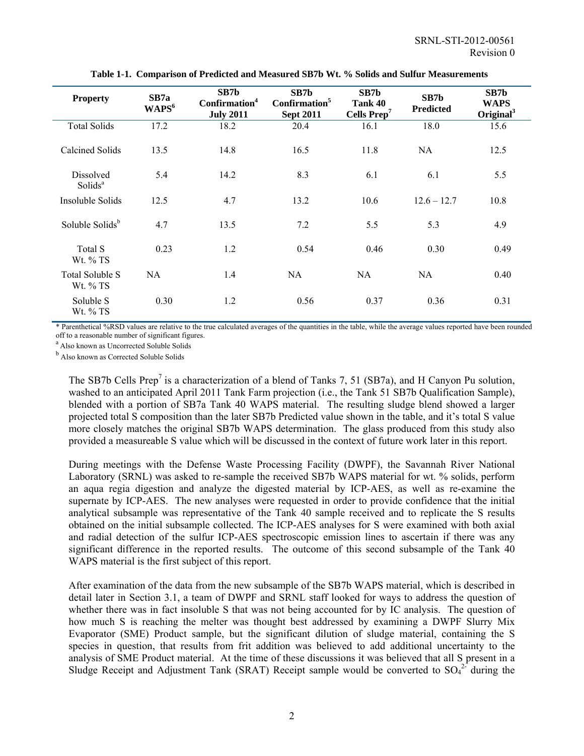| <b>Property</b>                         | SB7a<br>WAPS <sup>6</sup> | SB7b<br>Confirmation <sup>4</sup><br><b>July 2011</b> | SB7b<br>Confirmation <sup>5</sup><br><b>Sept 2011</b> | SB7b<br>Tank 40<br>Cells Prep <sup>7</sup> | SB7b<br><b>Predicted</b> | SB7b<br><b>WAPS</b><br>Original $3$ |
|-----------------------------------------|---------------------------|-------------------------------------------------------|-------------------------------------------------------|--------------------------------------------|--------------------------|-------------------------------------|
| <b>Total Solids</b>                     | 17.2                      | 18.2                                                  | 20.4                                                  | 16.1                                       | 18.0                     | 15.6                                |
| Calcined Solids                         | 13.5                      | 14.8                                                  | 16.5                                                  | 11.8                                       | NA                       | 12.5                                |
| <b>Dissolved</b><br>Solids <sup>a</sup> | 5.4                       | 14.2                                                  | 8.3                                                   | 6.1                                        | 6.1                      | 5.5                                 |
| Insoluble Solids                        | 12.5                      | 4.7                                                   | 13.2                                                  | 10.6                                       | $12.6 - 12.7$            | 10.8                                |
| Soluble Solids <sup>b</sup>             | 4.7                       | 13.5                                                  | 7.2                                                   | 5.5                                        | 5.3                      | 4.9                                 |
| Total S<br>Wt. % TS                     | 0.23                      | 1.2                                                   | 0.54                                                  | 0.46                                       | 0.30                     | 0.49                                |
| Total Soluble S<br>Wt. % TS             | NA                        | 1.4                                                   | NA                                                    | NA                                         | NA                       | 0.40                                |
| Soluble S<br>Wt. % TS                   | 0.30                      | 1.2                                                   | 0.56                                                  | 0.37                                       | 0.36                     | 0.31                                |

**Table 1-1. Comparison of Predicted and Measured SB7b Wt. % Solids and Sulfur Measurements** 

\* Parenthetical %RSD values are relative to the true calculated averages of the quantities in the table, while the average values reported have been rounded off to a reasonable number of significant figures.

<sup>a</sup> Also known as Uncorrected Soluble Solids

**b** Also known as Corrected Soluble Solids

The SB7b Cells Prep<sup>7</sup> is a characterization of a blend of Tanks 7, 51 (SB7a), and H Canyon Pu solution, washed to an anticipated April 2011 Tank Farm projection (i.e., the Tank 51 SB7b Qualification Sample), blended with a portion of SB7a Tank 40 WAPS material. The resulting sludge blend showed a larger projected total S composition than the later SB7b Predicted value shown in the table, and it's total S value more closely matches the original SB7b WAPS determination. The glass produced from this study also provided a measureable S value which will be discussed in the context of future work later in this report.

During meetings with the Defense Waste Processing Facility (DWPF), the Savannah River National Laboratory (SRNL) was asked to re-sample the received SB7b WAPS material for wt. % solids, perform an aqua regia digestion and analyze the digested material by ICP-AES, as well as re-examine the supernate by ICP-AES. The new analyses were requested in order to provide confidence that the initial analytical subsample was representative of the Tank 40 sample received and to replicate the S results obtained on the initial subsample collected. The ICP-AES analyses for S were examined with both axial and radial detection of the sulfur ICP-AES spectroscopic emission lines to ascertain if there was any significant difference in the reported results. The outcome of this second subsample of the Tank 40 WAPS material is the first subject of this report.

After examination of the data from the new subsample of the SB7b WAPS material, which is described in detail later in Section 3.1, a team of DWPF and SRNL staff looked for ways to address the question of whether there was in fact insoluble S that was not being accounted for by IC analysis. The question of how much S is reaching the melter was thought best addressed by examining a DWPF Slurry Mix Evaporator (SME) Product sample, but the significant dilution of sludge material, containing the S species in question, that results from frit addition was believed to add additional uncertainty to the analysis of SME Product material. At the time of these discussions it was believed that all S present in a Sludge Receipt and Adjustment Tank (SRAT) Receipt sample would be converted to  $SO_4^2$  during the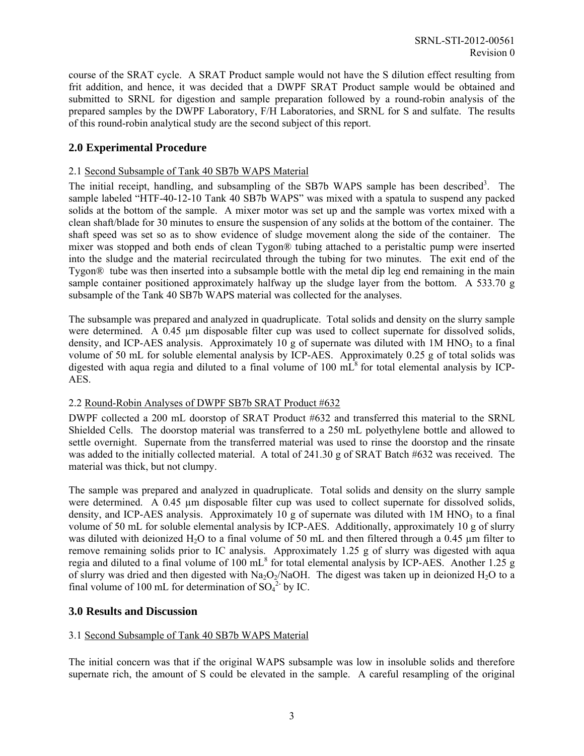course of the SRAT cycle. A SRAT Product sample would not have the S dilution effect resulting from frit addition, and hence, it was decided that a DWPF SRAT Product sample would be obtained and submitted to SRNL for digestion and sample preparation followed by a round-robin analysis of the prepared samples by the DWPF Laboratory, F/H Laboratories, and SRNL for S and sulfate. The results of this round-robin analytical study are the second subject of this report.

#### **2.0 Experimental Procedure**

#### 2.1 Second Subsample of Tank 40 SB7b WAPS Material

The initial receipt, handling, and subsampling of the SB7b WAPS sample has been described<sup>3</sup>. The sample labeled "HTF-40-12-10 Tank 40 SB7b WAPS" was mixed with a spatula to suspend any packed solids at the bottom of the sample. A mixer motor was set up and the sample was vortex mixed with a clean shaft/blade for 30 minutes to ensure the suspension of any solids at the bottom of the container. The shaft speed was set so as to show evidence of sludge movement along the side of the container. The mixer was stopped and both ends of clean Tygon® tubing attached to a peristaltic pump were inserted into the sludge and the material recirculated through the tubing for two minutes. The exit end of the Tygon® tube was then inserted into a subsample bottle with the metal dip leg end remaining in the main sample container positioned approximately halfway up the sludge layer from the bottom. A 533.70 g subsample of the Tank 40 SB7b WAPS material was collected for the analyses.

The subsample was prepared and analyzed in quadruplicate. Total solids and density on the slurry sample were determined. A 0.45 µm disposable filter cup was used to collect supernate for dissolved solids, density, and ICP-AES analysis. Approximately 10 g of supernate was diluted with  $1M HNO<sub>3</sub>$  to a final volume of 50 mL for soluble elemental analysis by ICP-AES. Approximately 0.25 g of total solids was digested with aqua regia and diluted to a final volume of 100  $m\tilde{L}^8$  for total elemental analysis by ICP-AES.

#### 2.2 Round-Robin Analyses of DWPF SB7b SRAT Product #632

DWPF collected a 200 mL doorstop of SRAT Product #632 and transferred this material to the SRNL Shielded Cells. The doorstop material was transferred to a 250 mL polyethylene bottle and allowed to settle overnight. Supernate from the transferred material was used to rinse the doorstop and the rinsate was added to the initially collected material. A total of 241.30 g of SRAT Batch #632 was received. The material was thick, but not clumpy.

The sample was prepared and analyzed in quadruplicate. Total solids and density on the slurry sample were determined. A 0.45 µm disposable filter cup was used to collect supernate for dissolved solids, density, and ICP-AES analysis. Approximately 10 g of supernate was diluted with  $1M HNO<sub>3</sub>$  to a final volume of 50 mL for soluble elemental analysis by ICP-AES. Additionally, approximately 10 g of slurry was diluted with deionized H<sub>2</sub>O to a final volume of 50 mL and then filtered through a 0.45 µm filter to remove remaining solids prior to IC analysis. Approximately 1.25 g of slurry was digested with aqua regia and diluted to a final volume of 100  $mL^8$  for total elemental analysis by ICP-AES. Another 1.25 g of slurry was dried and then digested with  $Na<sub>2</sub>O<sub>2</sub>/NaOH$ . The digest was taken up in deionized H<sub>2</sub>O to a final volume of 100 mL for determination of  $SO_4^2$  by IC.

#### **3.0 Results and Discussion**

#### 3.1 Second Subsample of Tank 40 SB7b WAPS Material

The initial concern was that if the original WAPS subsample was low in insoluble solids and therefore supernate rich, the amount of S could be elevated in the sample. A careful resampling of the original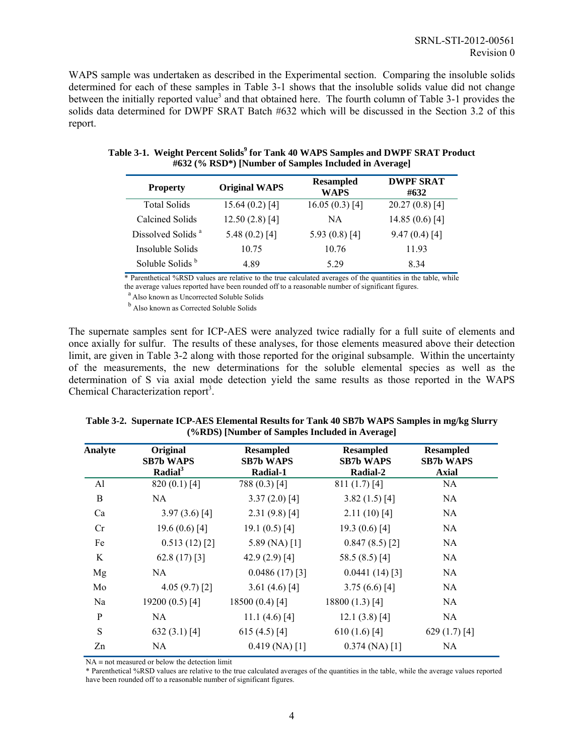WAPS sample was undertaken as described in the Experimental section. Comparing the insoluble solids determined for each of these samples in Table 3-1 shows that the insoluble solids value did not change between the initially reported value<sup>3</sup> and that obtained here. The fourth column of Table 3-1 provides the solids data determined for DWPF SRAT Batch #632 which will be discussed in the Section 3.2 of this report.

| <b>Property</b>               | <b>Original WAPS</b> | <b>Resampled</b><br><b>WAPS</b> | <b>DWPF SRAT</b><br>#632 |
|-------------------------------|----------------------|---------------------------------|--------------------------|
| <b>Total Solids</b>           | $15.64(0.2)$ [4]     | $16.05(0.3)$ [4]                | $20.27(0.8)$ [4]         |
| Calcined Solids               | $12.50(2.8)$ [4]     | NA                              | 14.85 $(0.6)$ [4]        |
| Dissolved Solids <sup>a</sup> | 5.48 $(0.2)$ [4]     | 5.93 $(0.8)$ [4]                | 9.47(0.4)[4]             |
| Insoluble Solids              | 10.75                | 10.76                           | 11.93                    |
| Soluble Solids <sup>b</sup>   | 4.89                 | 5.29                            | 834                      |

| Table 3-1. Weight Percent Solids <sup>9</sup> for Tank 40 WAPS Samples and DWPF SRAT Product |
|----------------------------------------------------------------------------------------------|
| #632 (% RSD*) [Number of Samples Included in Average]                                        |

\* Parenthetical %RSD values are relative to the true calculated averages of the quantities in the table, while the average values reported have been rounded off to a reasonable number of significant figures.<br><sup>a</sup> Also known as Uncorrected Soluble Solids

**b** Also known as Corrected Soluble Solids

The supernate samples sent for ICP-AES were analyzed twice radially for a full suite of elements and once axially for sulfur. The results of these analyses, for those elements measured above their detection limit, are given in Table 3-2 along with those reported for the original subsample. Within the uncertainty of the measurements, the new determinations for the soluble elemental species as well as the determination of S via axial mode detection yield the same results as those reported in the WAPS Chemical Characterization report<sup>3</sup>.

| Original<br><b>SB7b WAPS</b> | <b>Resampled</b><br><b>SB7b WAPS</b> | <b>Resampled</b><br><b>SB7b WAPS</b> | <b>Resampled</b><br><b>SB7b WAPS</b><br><b>Axial</b> |
|------------------------------|--------------------------------------|--------------------------------------|------------------------------------------------------|
| $820(0.1)$ [4]               | 788 (0.3) [4]                        | $811(1.7)$ [4]                       | <b>NA</b>                                            |
| NA                           | $3.37(2.0)$ [4]                      | $3.82(1.5)$ [4]                      | NA                                                   |
| $3.97(3.6)$ [4]              | $2.31(9.8)$ [4]                      | $2.11(10)$ [4]                       | NA.                                                  |
| 19.6 $(0.6)$ [4]             | 19.1 $(0.5)$ [4]                     | 19.3 $(0.6)$ [4]                     | NA.                                                  |
| $0.513(12)$ [2]              | 5.89 (NA) $[1]$                      | 0.847(8.5)[2]                        | NA.                                                  |
| 62.8 $(17)$ [3]              | 42.9 $(2.9)$ [4]                     | 58.5 (8.5) [4]                       | NA                                                   |
| NA.                          | $0.0486(17)$ [3]                     | $0.0441(14)$ [3]                     | NA.                                                  |
| 4.05(9.7)[2]                 | 3.61 $(4.6)$ [4]                     | 3.75(6.6)[4]                         | NA.                                                  |
| 19200 (0.5) [4]              | 18500 (0.4) [4]                      | 18800 (1.3) [4]                      | NA                                                   |
| NA.                          | 11.1 $(4.6)$ [4]                     | $12.1(3.8)$ [4]                      | NA.                                                  |
| 632 $(3.1)$ [4]              | 615 (4.5) [4]                        | $610(1.6)$ [4]                       | 629 $(1.7)$ [4]                                      |
| NA.                          | $0.419$ (NA) [1]                     | $0.374$ (NA) [1]                     | NA                                                   |
|                              | Radial <sup>3</sup>                  | Radial-1                             | Radial-2                                             |

**Table 3-2. Supernate ICP-AES Elemental Results for Tank 40 SB7b WAPS Samples in mg/kg Slurry (%RDS) [Number of Samples Included in Average]** 

 $NA \equiv not measured or below the detection limit$ 

\* Parenthetical %RSD values are relative to the true calculated averages of the quantities in the table, while the average values reported have been rounded off to a reasonable number of significant figures.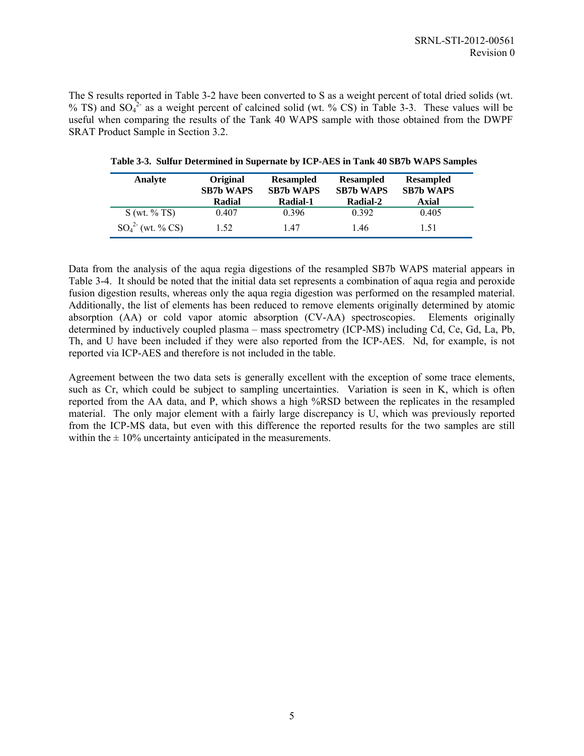The S results reported in Table 3-2 have been converted to S as a weight percent of total dried solids (wt. % TS) and  $SO_4^2$  as a weight percent of calcined solid (wt. % CS) in Table 3-3. These values will be useful when comparing the results of the Tank 40 WAPS sample with those obtained from the DWPF SRAT Product Sample in Section 3.2.

| Analyte             | <b>Original</b><br><b>SB7b WAPS</b><br>Radial | <b>Resampled</b><br><b>SB7b WAPS</b><br>Radial-1 | Resampled<br><b>SB7b WAPS</b><br>Radial-2 | <b>Resampled</b><br><b>SB7b WAPS</b><br><b>Axial</b> |
|---------------------|-----------------------------------------------|--------------------------------------------------|-------------------------------------------|------------------------------------------------------|
| S(wt. % TS)         | 0.407                                         | 0.396                                            | 0.392                                     | 0.405                                                |
| $SO_4^2$ (wt. % CS) | 1.52                                          | 147                                              | 1.46                                      | 1.51                                                 |

**Table 3-3. Sulfur Determined in Supernate by ICP-AES in Tank 40 SB7b WAPS Samples** 

Data from the analysis of the aqua regia digestions of the resampled SB7b WAPS material appears in Table 3-4. It should be noted that the initial data set represents a combination of aqua regia and peroxide fusion digestion results, whereas only the aqua regia digestion was performed on the resampled material. Additionally, the list of elements has been reduced to remove elements originally determined by atomic absorption (AA) or cold vapor atomic absorption (CV-AA) spectroscopies. Elements originally determined by inductively coupled plasma – mass spectrometry (ICP-MS) including Cd, Ce, Gd, La, Pb, Th, and U have been included if they were also reported from the ICP-AES. Nd, for example, is not reported via ICP-AES and therefore is not included in the table.

Agreement between the two data sets is generally excellent with the exception of some trace elements, such as Cr, which could be subject to sampling uncertainties. Variation is seen in K, which is often reported from the AA data, and P, which shows a high %RSD between the replicates in the resampled material. The only major element with a fairly large discrepancy is U, which was previously reported from the ICP-MS data, but even with this difference the reported results for the two samples are still within the  $\pm 10\%$  uncertainty anticipated in the measurements.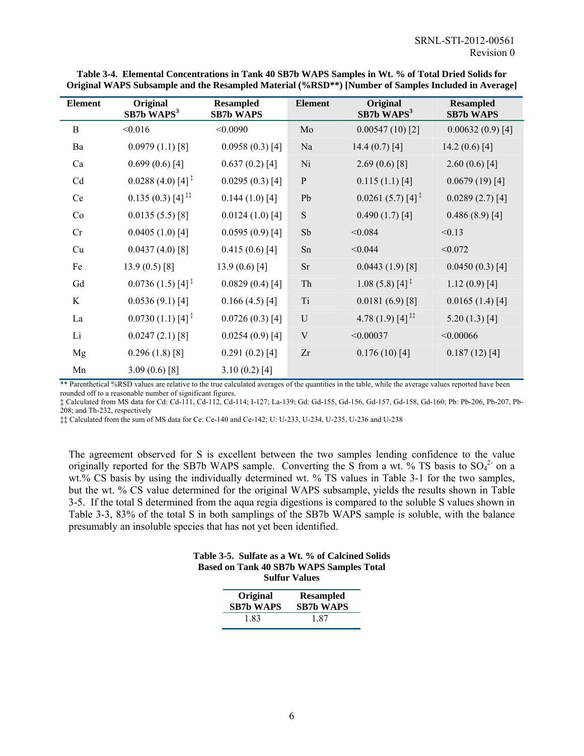| <b>Element</b> | Original<br>$SB7b$ WAPS <sup>3</sup>               | <b>Resampled</b><br><b>SB7b WAPS</b> | <b>Element</b> | Original<br>$SB7b$ WAPS <sup>3</sup> | <b>Resampled</b><br><b>SB7b WAPS</b> |
|----------------|----------------------------------------------------|--------------------------------------|----------------|--------------------------------------|--------------------------------------|
| B              | < 0.016                                            | < 0.0090                             | Mo             | $0.00547(10)$ [2]                    | $0.00632(0.9)$ [4]                   |
| Ba             | $0.0979(1.1)$ [8]                                  | $0.0958(0.3)$ [4]                    | Na             | 14.4 $(0.7)$ [4]                     | 14.2 $(0.6)$ [4]                     |
| Ca             | $0.699(0.6)$ [4]                                   | $0.637(0.2)$ [4]                     | Ni             | $2.69(0.6)$ [8]                      | 2.60(0.6)[4]                         |
| Cd             | $0.0288(4.0)$ [4] <sup>‡</sup>                     | $0.0295(0.3)$ [4]                    | ${\bf P}$      | $0.115(1.1)$ [4]                     | $0.0679(19)$ [4]                     |
| Ce             | $0.135(0.3)$ [4] <sup>‡‡</sup>                     | $0.144(1.0)$ [4]                     | Pb             | $0.0261(5.7)[4]$ <sup>‡</sup>        | 0.0289(2.7)[4]                       |
| Co             | 0.0135(5.5)[8]                                     | $0.0124(1.0)$ [4]                    | ${\bf S}$      | $0.490(1.7)$ [4]                     | $0.486(8.9)$ [4]                     |
| Cr             | $0.0405(1.0)$ [4]                                  | $0.0595(0.9)$ [4]                    | Sb             | < 0.084                              | < 0.13                               |
| Cu             | $0.0437(4.0)$ [8]                                  | $0.415(0.6)$ [4]                     | Sn             | < 0.044                              | < 0.072                              |
| Fe             | 13.9 $(0.5)$ [8]                                   | 13.9 $(0.6)$ [4]                     | <b>Sr</b>      | $0.0443(1.9)$ [8]                    | $0.0450(0.3)$ [4]                    |
| Gd             | $0.0736(1.5)$ [4] <sup>‡</sup>                     | $0.0829(0.4)$ [4]                    | Th             | $1.08(5.8)[4]$ <sup>T</sup>          | $1.12(0.9)$ [4]                      |
| K              | $0.0536(9.1)$ [4]                                  | $0.166(4.5)$ [4]                     | Ti             | $0.0181(6.9)$ [8]                    | 0.0165(1.4)[4]                       |
| La             | $0.0730(1.1)$ [4] <sup><math>\ddagger</math></sup> | $0.0726(0.3)$ [4]                    | U              | 4.78 $(1.9)$ [4] <sup>‡‡</sup>       | $5.20(1.3)$ [4]                      |
| Li             | $0.0247(2.1)$ [8]                                  | $0.0254(0.9)$ [4]                    | $\mathbf V$    | < 0.00037                            | < 0.00066                            |
| Mg             | $0.296(1.8)$ [8]                                   | $0.291(0.2)$ [4]                     | Zr             | $0.176(10)$ [4]                      | $0.187(12)$ [4]                      |
| Mn             | $3.09(0.6)$ [8]                                    | $3.10(0.2)$ [4]                      |                |                                      |                                      |

**Table 3-4. Elemental Concentrations in Tank 40 SB7b WAPS Samples in Wt. % of Total Dried Solids for Original WAPS Subsample and the Resampled Material (%RSD\*\*) [Number of Samples Included in Average]** 

\*\* Parenthetical %RSD values are relative to the true calculated averages of the quantities in the table, while the average values reported have been rounded off to a reasonable number of significant figures.

‡ Calculated from MS data for Cd: Cd-111, Cd-112, Cd-114; I-127; La-139; Gd: Gd-155, Gd-156, Gd-157, Gd-158, Gd-160; Pb: Pb-206, Pb-207, Pb-208; and Th-232, respectively

‡‡ Calculated from the sum of MS data for Ce: Ce-140 and Ce-142; U: U-233, U-234, U-235, U-236 and U-238

The agreement observed for S is excellent between the two samples lending confidence to the value originally reported for the SB7b WAPS sample. Converting the S from a wt.  $\%$  TS basis to SO<sub>4</sub><sup>2</sup> on a wt.% CS basis by using the individually determined wt. % TS values in Table 3-1 for the two samples, but the wt. % CS value determined for the original WAPS subsample, yields the results shown in Table 3-5. If the total S determined from the aqua regia digestions is compared to the soluble S values shown in Table 3-3, 83% of the total S in both samplings of the SB7b WAPS sample is soluble, with the balance presumably an insoluble species that has not yet been identified.

|  |                      | Table 3-5. Sulfate as a Wt. % of Calcined Solids |
|--|----------------------|--------------------------------------------------|
|  |                      | <b>Based on Tank 40 SB7b WAPS Samples Total</b>  |
|  | <b>Sulfur Values</b> |                                                  |

| Original         | <b>Resampled</b> |
|------------------|------------------|
| <b>SB7b WAPS</b> | <b>SB7b WAPS</b> |
| 183              | 187              |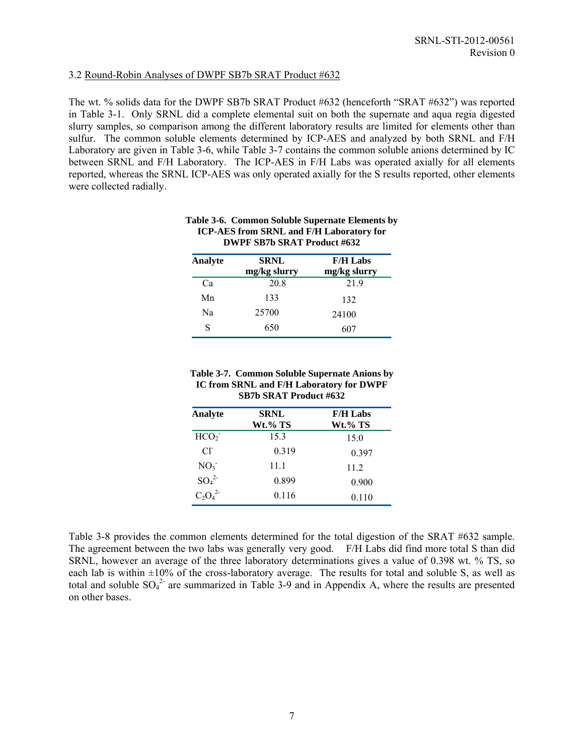#### 3.2 Round-Robin Analyses of DWPF SB7b SRAT Product #632

The wt. % solids data for the DWPF SB7b SRAT Product #632 (henceforth "SRAT #632") was reported in Table 3-1. Only SRNL did a complete elemental suit on both the supernate and aqua regia digested slurry samples, so comparison among the different laboratory results are limited for elements other than sulfur. The common soluble elements determined by ICP-AES and analyzed by both SRNL and F/H Laboratory are given in Table 3-6, while Table 3-7 contains the common soluble anions determined by IC between SRNL and F/H Laboratory. The ICP-AES in F/H Labs was operated axially for all elements reported, whereas the SRNL ICP-AES was only operated axially for the S results reported, other elements were collected radially.

| Analyte | <b>SRNL</b><br>mg/kg slurry | <b>F/H Labs</b><br>mg/kg slurry |
|---------|-----------------------------|---------------------------------|
| Ca      | 20.8                        | 21.9                            |
| Mn      | 133                         | 132                             |
| Na      | 25700                       | 24100                           |
| S       | 650                         | 607                             |

#### **Table 3-6. Common Soluble Supernate Elements by ICP-AES from SRNL and F/H Laboratory for DWPF SB7b SRAT Product #632**

#### **Table 3-7. Common Soluble Supernate Anions by IC from SRNL and F/H Laboratory for DWPF SB7b SRAT Product #632**

| Analyte          | <b>SRNL</b> | <b>F/H Labs</b> |
|------------------|-------------|-----------------|
|                  | Wt.% TS     | Wt.% TS         |
| HCO <sub>2</sub> | 15.3        | 15.0            |
| $Cl^{\dagger}$   | 0.319       | 0.397           |
| NO <sub>3</sub>  | 11.1        | 11.2            |
| $SO_4^2$         | 0.899       | 0.900           |
| $C_2O_4^2$       | 0.116       | 0.110           |

Table 3-8 provides the common elements determined for the total digestion of the SRAT #632 sample. The agreement between the two labs was generally very good. F/H Labs did find more total S than did SRNL, however an average of the three laboratory determinations gives a value of 0.398 wt. % TS, so each lab is within  $\pm 10\%$  of the cross-laboratory average. The results for total and soluble S, as well as total and soluble  $SO_4^2$  are summarized in Table 3-9 and in Appendix A, where the results are presented on other bases.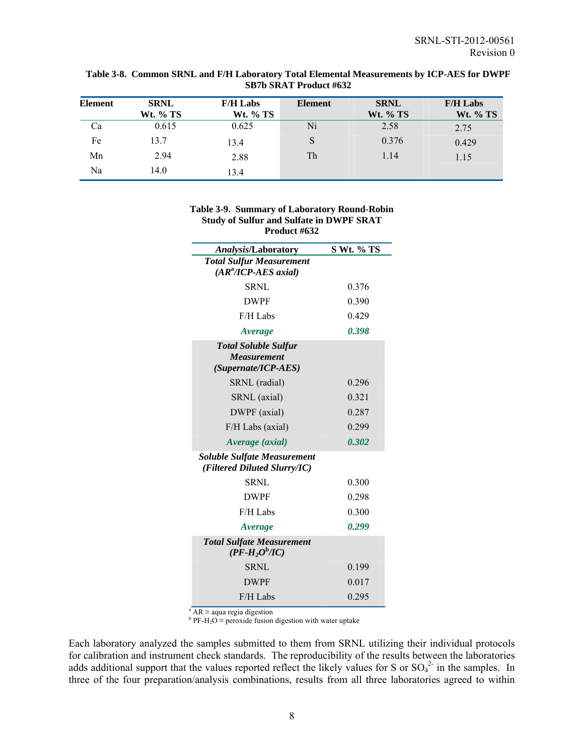| Element | <b>SRNL</b><br><b>Wt. % TS</b> | <b>F/H Labs</b><br><b>Wt.</b> % TS | <b>Element</b> | <b>SRNL</b><br><b>Wt.</b> % TS | <b>F/H Labs</b><br><b>Wt.</b> % TS |
|---------|--------------------------------|------------------------------------|----------------|--------------------------------|------------------------------------|
| Ca      | 0.615                          | 0.625                              | Ni             | 2.58                           | 2.75                               |
| Fe      | 13.7                           | 13.4                               |                | 0.376                          | 0.429                              |
| Mn      | 2.94                           | 2.88                               | Th             | 1.14                           | 1.15                               |
| Na      | 14.0                           | 13.4                               |                |                                |                                    |

#### **Table 3-8. Common SRNL and F/H Laboratory Total Elemental Measurements by ICP-AES for DWPF SB7b SRAT Product #632**

| Table 3-9. Summary of Laboratory Round-Robin    |
|-------------------------------------------------|
| <b>Study of Sulfur and Sulfate in DWPF SRAT</b> |
| Product #632                                    |

| Analysis/Laboratory                                                | S Wt. % TS |
|--------------------------------------------------------------------|------------|
| <b>Total Sulfur Measurement</b>                                    |            |
| $(AR^2/ICP-AES\,axial)$                                            |            |
| SRNL                                                               | 0.376      |
| <b>DWPF</b>                                                        | 0.390      |
| $F/H$ Labs                                                         | 0.429      |
| Average                                                            | 0.398      |
| <b>Total Soluble Sulfur</b>                                        |            |
| <b>Measurement</b><br>(Supernate/ICP-AES)                          |            |
| SRNL (radial)                                                      | 0.296      |
| SRNL (axial)                                                       | 0.321      |
| DWPF (axial)                                                       | 0.287      |
| F/H Labs (axial)                                                   | 0.299      |
| Average (axial)                                                    | 0.302      |
| <b>Soluble Sulfate Measurement</b><br>(Filtered Diluted Slurry/IC) |            |
| SRNL                                                               | 0.300      |
| <b>DWPF</b>                                                        | 0.298      |
| $F/H$ Labs                                                         | 0.300      |
| Average                                                            | 0.299      |
| <b>Total Sulfate Measurement</b><br>$(PF-H2Ob/IC)$                 |            |
| <b>SRNL</b>                                                        | 0.199      |
| <b>DWPF</b>                                                        | 0.017      |
| $F/H$ Labs                                                         | 0.295      |

<sup>a</sup> AR ≡ aqua regia digestion<br><sup>b</sup> PF-H<sub>2</sub>O ≡ peroxide fusion digestion with water uptake

Each laboratory analyzed the samples submitted to them from SRNL utilizing their individual protocols for calibration and instrument check standards. The reproducibility of the results between the laboratories adds additional support that the values reported reflect the likely values for S or  $SO_4^2$  in the samples. In three of the four preparation/analysis combinations, results from all three laboratories agreed to within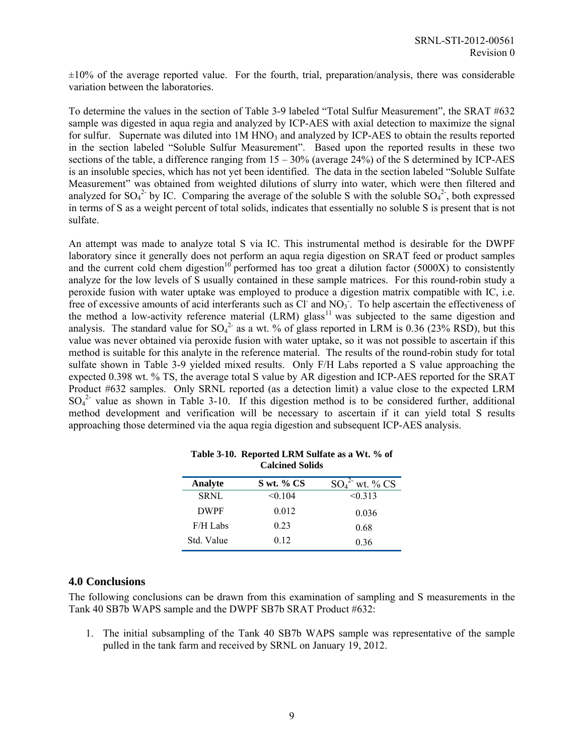$\pm 10\%$  of the average reported value. For the fourth, trial, preparation/analysis, there was considerable variation between the laboratories.

To determine the values in the section of Table 3-9 labeled "Total Sulfur Measurement", the SRAT #632 sample was digested in aqua regia and analyzed by ICP-AES with axial detection to maximize the signal for sulfur. Supernate was diluted into  $1M HNO<sub>3</sub>$  and analyzed by ICP-AES to obtain the results reported in the section labeled "Soluble Sulfur Measurement". Based upon the reported results in these two sections of the table, a difference ranging from 15 – 30% (average 24%) of the S determined by ICP-AES is an insoluble species, which has not yet been identified. The data in the section labeled "Soluble Sulfate Measurement" was obtained from weighted dilutions of slurry into water, which were then filtered and analyzed for  $SO_4^2$  by IC. Comparing the average of the soluble S with the soluble  $SO_4^2$ , both expressed in terms of S as a weight percent of total solids, indicates that essentially no soluble S is present that is not sulfate.

An attempt was made to analyze total S via IC. This instrumental method is desirable for the DWPF laboratory since it generally does not perform an aqua regia digestion on SRAT feed or product samples and the current cold chem digestion<sup>10</sup> performed has too great a dilution factor (5000X) to consistently analyze for the low levels of S usually contained in these sample matrices. For this round-robin study a peroxide fusion with water uptake was employed to produce a digestion matrix compatible with IC, i.e. free of excessive amounts of acid interferants such as  $Cl^-$  and  $NO_3^-$ . To help ascertain the effectiveness of the method a low-activity reference material (LRM) glass<sup>11</sup> was subjected to the same digestion and analysis. The standard value for  $SO_4^2$  as a wt. % of glass reported in LRM is 0.36 (23% RSD), but this value was never obtained via peroxide fusion with water uptake, so it was not possible to ascertain if this method is suitable for this analyte in the reference material. The results of the round-robin study for total sulfate shown in Table 3-9 yielded mixed results. Only F/H Labs reported a S value approaching the expected 0.398 wt. % TS, the average total S value by AR digestion and ICP-AES reported for the SRAT Product #632 samples. Only SRNL reported (as a detection limit) a value close to the expected LRM  $SO_4^2$  value as shown in Table 3-10. If this digestion method is to be considered further, additional method development and verification will be necessary to ascertain if it can yield total S results approaching those determined via the aqua regia digestion and subsequent ICP-AES analysis.

| Analyte     | $S$ wt. % CS | $SO_4^2$ wt. % CS |
|-------------|--------------|-------------------|
| <b>SRNL</b> | < 0.104      | < 0.313           |
| <b>DWPF</b> | 0.012        | 0.036             |
| $F/H$ Labs  | 0.23         | 0.68              |
| Std. Value  | 0.12         | 0.36              |

| Table 3-10. Reported LRM Sulfate as a Wt. % of |  |
|------------------------------------------------|--|
| <b>Calcined Solids</b>                         |  |
|                                                |  |

#### **4.0 Conclusions**

The following conclusions can be drawn from this examination of sampling and S measurements in the Tank 40 SB7b WAPS sample and the DWPF SB7b SRAT Product #632:

1. The initial subsampling of the Tank 40 SB7b WAPS sample was representative of the sample pulled in the tank farm and received by SRNL on January 19, 2012.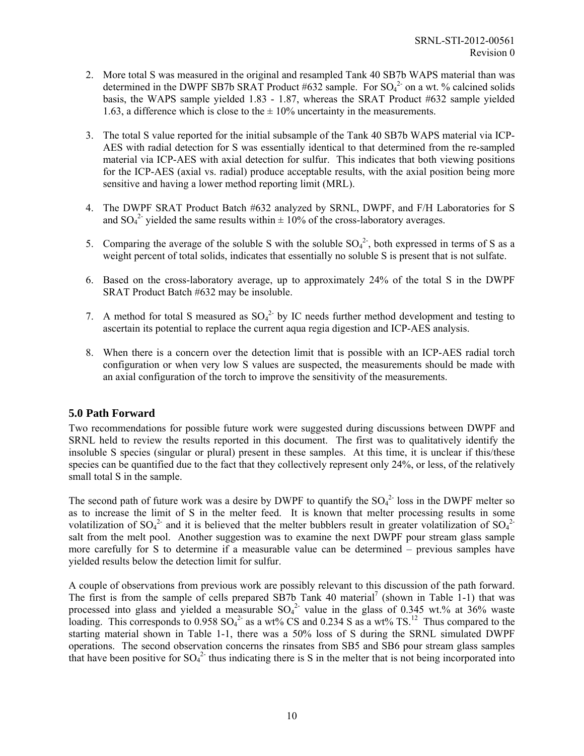- 2. More total S was measured in the original and resampled Tank 40 SB7b WAPS material than was determined in the DWPF SB7b SRAT Product #632 sample. For  $SO_4^2$  on a wt. % calcined solids basis, the WAPS sample yielded 1.83 - 1.87, whereas the SRAT Product #632 sample yielded 1.63, a difference which is close to the  $\pm$  10% uncertainty in the measurements.
- 3. The total S value reported for the initial subsample of the Tank 40 SB7b WAPS material via ICP-AES with radial detection for S was essentially identical to that determined from the re-sampled material via ICP-AES with axial detection for sulfur. This indicates that both viewing positions for the ICP-AES (axial vs. radial) produce acceptable results, with the axial position being more sensitive and having a lower method reporting limit (MRL).
- 4. The DWPF SRAT Product Batch #632 analyzed by SRNL, DWPF, and F/H Laboratories for S and  $SO_4^2$  yielded the same results within  $\pm 10\%$  of the cross-laboratory averages.
- 5. Comparing the average of the soluble S with the soluble  $SO_4^2$ , both expressed in terms of S as a weight percent of total solids, indicates that essentially no soluble S is present that is not sulfate.
- 6. Based on the cross-laboratory average, up to approximately 24% of the total S in the DWPF SRAT Product Batch #632 may be insoluble.
- 7. A method for total S measured as  $SO_4^2$  by IC needs further method development and testing to ascertain its potential to replace the current aqua regia digestion and ICP-AES analysis.
- 8. When there is a concern over the detection limit that is possible with an ICP-AES radial torch configuration or when very low S values are suspected, the measurements should be made with an axial configuration of the torch to improve the sensitivity of the measurements.

#### **5.0 Path Forward**

Two recommendations for possible future work were suggested during discussions between DWPF and SRNL held to review the results reported in this document. The first was to qualitatively identify the insoluble S species (singular or plural) present in these samples. At this time, it is unclear if this/these species can be quantified due to the fact that they collectively represent only 24%, or less, of the relatively small total S in the sample.

The second path of future work was a desire by DWPF to quantify the  $SO_4^2$ -loss in the DWPF melter so as to increase the limit of S in the melter feed. It is known that melter processing results in some volatilization of  $SO_4^2$  and it is believed that the melter bubblers result in greater volatilization of  $SO_4^2$ salt from the melt pool. Another suggestion was to examine the next DWPF pour stream glass sample more carefully for S to determine if a measurable value can be determined – previous samples have yielded results below the detection limit for sulfur.

A couple of observations from previous work are possibly relevant to this discussion of the path forward. The first is from the sample of cells prepared SB7b Tank 40 material<sup>7</sup> (shown in Table 1-1) that was processed into glass and yielded a measurable  $SO_4^2$  value in the glass of 0.345 wt.% at 36% waste loading. This corresponds to  $0.958$  SO<sub>4</sub><sup>2</sup> as a wt% CS and 0.234 S as a wt% TS.<sup>12</sup> Thus compared to the starting material shown in Table 1-1, there was a 50% loss of S during the SRNL simulated DWPF operations. The second observation concerns the rinsates from SB5 and SB6 pour stream glass samples that have been positive for  $SO_4^2$  thus indicating there is S in the melter that is not being incorporated into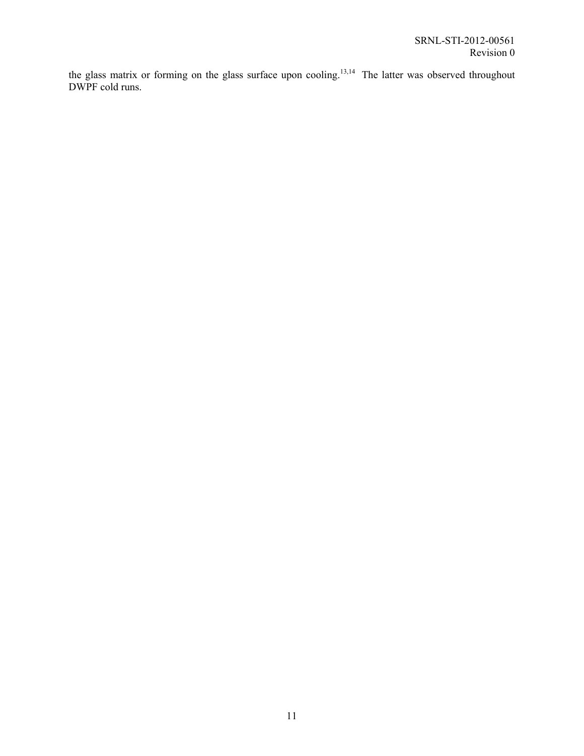the glass matrix or forming on the glass surface upon cooling.<sup>13,14</sup> The latter was observed throughout DWPF cold runs.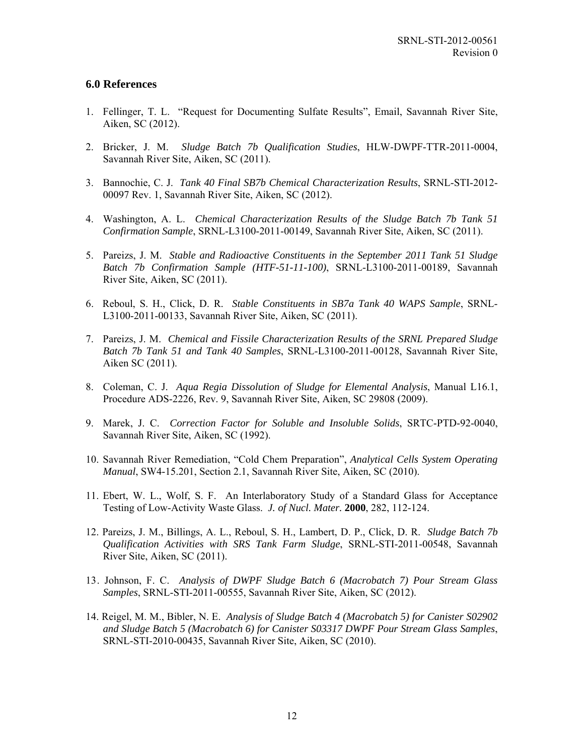#### **6.0 References**

- 1. Fellinger, T. L. "Request for Documenting Sulfate Results", Email, Savannah River Site, Aiken, SC (2012).
- 2. Bricker, J. M. *Sludge Batch 7b Qualification Studies*, HLW-DWPF-TTR-2011-0004, Savannah River Site, Aiken, SC (2011).
- 3. Bannochie, C. J. *Tank 40 Final SB7b Chemical Characterization Results*, SRNL-STI-2012- 00097 Rev. 1, Savannah River Site, Aiken, SC (2012).
- 4. Washington, A. L. *Chemical Characterization Results of the Sludge Batch 7b Tank 51 Confirmation Sample*, SRNL-L3100-2011-00149, Savannah River Site, Aiken, SC (2011).
- 5. Pareizs, J. M. *Stable and Radioactive Constituents in the September 2011 Tank 51 Sludge Batch 7b Confirmation Sample (HTF-51-11-100)*, SRNL-L3100-2011-00189, Savannah River Site, Aiken, SC (2011).
- 6. Reboul, S. H., Click, D. R. *Stable Constituents in SB7a Tank 40 WAPS Sample*, SRNL-L3100-2011-00133, Savannah River Site, Aiken, SC (2011).
- 7. Pareizs, J. M. *Chemical and Fissile Characterization Results of the SRNL Prepared Sludge Batch 7b Tank 51 and Tank 40 Samples*, SRNL-L3100-2011-00128, Savannah River Site, Aiken SC (2011).
- 8. Coleman, C. J. *Aqua Regia Dissolution of Sludge for Elemental Analysis*, Manual L16.1, Procedure ADS-2226, Rev. 9, Savannah River Site, Aiken, SC 29808 (2009).
- 9. Marek, J. C. *Correction Factor for Soluble and Insoluble Solids*, SRTC-PTD-92-0040, Savannah River Site, Aiken, SC (1992).
- 10. Savannah River Remediation, "Cold Chem Preparation", *Analytical Cells System Operating Manual*, SW4-15.201, Section 2.1, Savannah River Site, Aiken, SC (2010).
- 11. Ebert, W. L., Wolf, S. F. An Interlaboratory Study of a Standard Glass for Acceptance Testing of Low-Activity Waste Glass. *J. of Nucl. Mater.* **2000**, 282, 112-124.
- 12. Pareizs, J. M., Billings, A. L., Reboul, S. H., Lambert, D. P., Click, D. R. *Sludge Batch 7b Qualification Activities with SRS Tank Farm Sludge*, SRNL-STI-2011-00548, Savannah River Site, Aiken, SC (2011).
- 13. Johnson, F. C. *Analysis of DWPF Sludge Batch 6 (Macrobatch 7) Pour Stream Glass Samples*, SRNL-STI-2011-00555, Savannah River Site, Aiken, SC (2012).
- 14. Reigel, M. M., Bibler, N. E. *Analysis of Sludge Batch 4 (Macrobatch 5) for Canister S02902 and Sludge Batch 5 (Macrobatch 6) for Canister S03317 DWPF Pour Stream Glass Samples*, SRNL-STI-2010-00435, Savannah River Site, Aiken, SC (2010).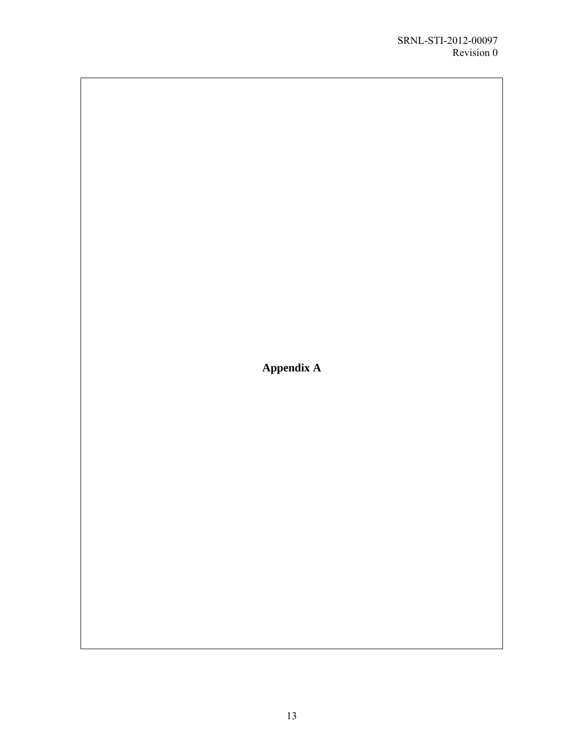**Appendix A**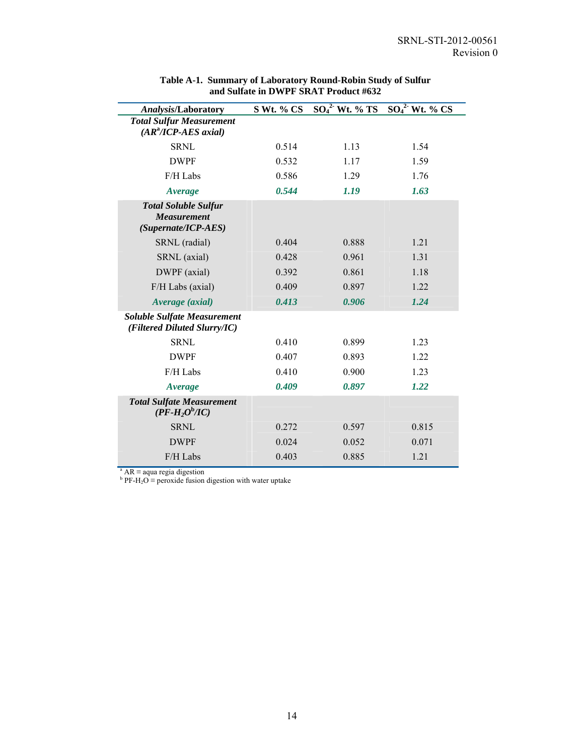| <b>Analysis/Laboratory</b>                                               | S Wt. % CS | $\overline{{\rm SO}_4^2}$ Wt. % TS | $SO42$ Wt. % CS |
|--------------------------------------------------------------------------|------------|------------------------------------|-----------------|
| <b>Total Sulfur Measurement</b><br>(AR <sup>a</sup> /ICP-AES axial)      |            |                                    |                 |
| <b>SRNL</b>                                                              | 0.514      | 1.13                               | 1.54            |
| <b>DWPF</b>                                                              | 0.532      | 1.17                               | 1.59            |
| F/H Labs                                                                 | 0.586      | 1.29                               | 1.76            |
| Average                                                                  | 0.544      | 1.19                               | 1.63            |
| <b>Total Soluble Sulfur</b><br><b>Measurement</b><br>(Supernate/ICP-AES) |            |                                    |                 |
| SRNL (radial)                                                            | 0.404      | 0.888                              | 1.21            |
| SRNL (axial)                                                             | 0.428      | 0.961                              | 1.31            |
| DWPF (axial)                                                             | 0.392      | 0.861                              | 1.18            |
| F/H Labs (axial)                                                         | 0.409      | 0.897                              | 1.22            |
| Average (axial)                                                          | 0.413      | 0.906                              | 1.24            |
| <b>Soluble Sulfate Measurement</b><br>(Filtered Diluted Slurry/IC)       |            |                                    |                 |
| <b>SRNL</b>                                                              | 0.410      | 0.899                              | 1.23            |
| <b>DWPF</b>                                                              | 0.407      | 0.893                              | 1.22            |
| F/H Labs                                                                 | 0.410      | 0.900                              | 1.23            |
| Average                                                                  | 0.409      | 0.897                              | 1.22            |
| <b>Total Sulfate Measurement</b><br>$(PF-H2Ob/IC)$                       |            |                                    |                 |
| <b>SRNL</b>                                                              | 0.272      | 0.597                              | 0.815           |
| <b>DWPF</b>                                                              | 0.024      | 0.052                              | 0.071           |
| F/H Labs                                                                 | 0.403      | 0.885                              | 1.21            |

#### **Table A-1. Summary of Laboratory Round-Robin Study of Sulfur and Sulfate in DWPF SRAT Product #632**

<sup>a</sup> AR ≡ aqua regia digestion<br><sup>b</sup> PF-H<sub>2</sub>O ≡ peroxide fusion digestion with water uptake